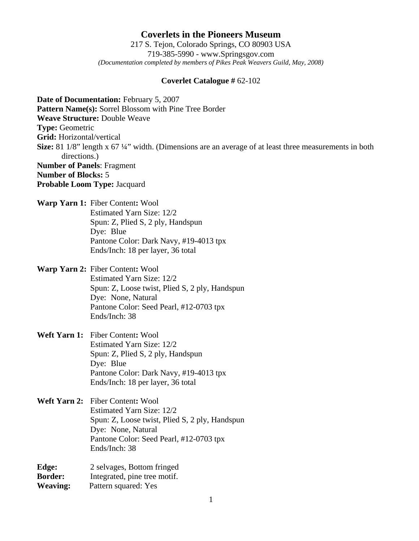### **Coverlets in the Pioneers Museum** 217 S. Tejon, Colorado Springs, CO 80903 USA 719-385-5990 - www.Springsgov.com *(Documentation completed by members of Pikes Peak Weavers Guild, May, 2008)*

#### **Coverlet Catalogue #** 62-102

**Date of Documentation:** February 5, 2007 **Pattern Name(s):** Sorrel Blossom with Pine Tree Border **Weave Structure:** Double Weave **Type:** Geometric **Grid:** Horizontal/vertical **Size:** 81 1/8" length x 67 ¼" width. (Dimensions are an average of at least three measurements in both directions.) **Number of Panels**: Fragment **Number of Blocks:** 5 **Probable Loom Type:** Jacquard

**Warp Yarn 1:** Fiber Content**:** Wool Estimated Yarn Size: 12/2 Spun: Z, Plied S, 2 ply, Handspun Dye: Blue Pantone Color: Dark Navy, #19-4013 tpx Ends/Inch: 18 per layer, 36 total

# **Warp Yarn 2:** Fiber Content**:** Wool Estimated Yarn Size: 12/2 Spun: Z, Loose twist, Plied S, 2 ply, Handspun Dye: None, Natural Pantone Color: Seed Pearl, #12-0703 tpx Ends/Inch: 38

**Weft Yarn 1:** Fiber Content**:** Wool Estimated Yarn Size: 12/2 Spun: Z, Plied S, 2 ply, Handspun Dye: Blue Pantone Color: Dark Navy, #19-4013 tpx Ends/Inch: 18 per layer, 36 total

**Weft Yarn 2:** Fiber Content**:** Wool Estimated Yarn Size: 12/2 Spun: Z, Loose twist, Plied S, 2 ply, Handspun Dye: None, Natural Pantone Color: Seed Pearl, #12-0703 tpx Ends/Inch: 38

| Edge:           | 2 selvages, Bottom fringed   |
|-----------------|------------------------------|
| <b>Border:</b>  | Integrated, pine tree motif. |
| <b>Weaving:</b> | Pattern squared: Yes         |